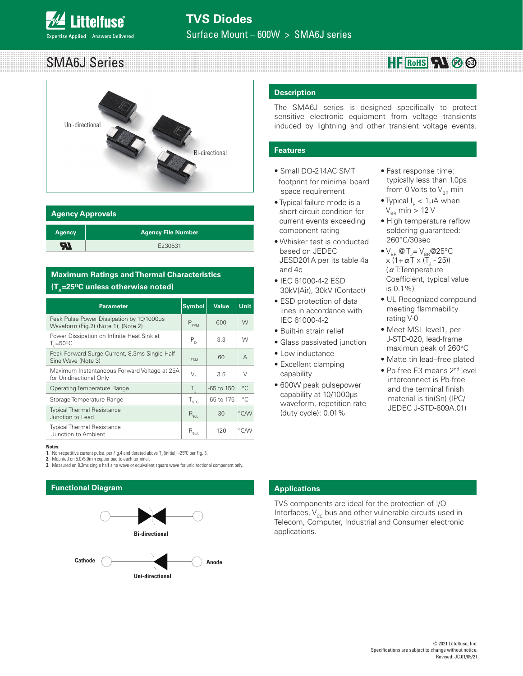### SMA6J Series **HF** RoHS<sup>I</sup>N<sup>®</sup>



| <b>Agency Approvals</b> |                           |  |  |  |  |
|-------------------------|---------------------------|--|--|--|--|
| <b>Agency</b>           | <b>Agency File Number</b> |  |  |  |  |
|                         | E230531                   |  |  |  |  |

# **Maximum Ratings and Thermal Characteristics (T<sub>^</sub>=25<sup>o</sup>C unless otherwise noted)**

| <b>Parameter</b>                                                                 | <b>Symbol</b>                                                  | <b>Value</b> | <b>Unit</b> |
|----------------------------------------------------------------------------------|----------------------------------------------------------------|--------------|-------------|
| Peak Pulse Power Dissipation by 10/1000us<br>Waveform (Fig.2) (Note 1), (Note 2) | $P_{\text{ppM}}$                                               | 600          | W           |
| Power Dissipation on Infinite Heat Sink at<br>$T_{\text{I}} = 50^{\circ}C$       | $P_{D}$                                                        | 3.3          | W           |
| Peak Forward Surge Current, 8.3ms Single Half<br>Sine Wave (Note 3)              | $I_{FSM}$                                                      | 60           | $\forall$   |
| Maximum Instantaneous Forward Voltage at 25A<br>for Unidirectional Only          | $\mathsf{V}_{\scriptscriptstyle{\sf F}}$                       | 3.5          | V           |
| <b>Operating Temperature Range</b>                                               | Τ,                                                             | $-65$ to 150 | $^{\circ}C$ |
| Storage Temperature Range                                                        | ${\mathsf T}_{\text{STG}}$                                     | -65 to 175   | $^{\circ}C$ |
| <b>Typical Thermal Resistance</b><br>Junction to Lead                            | $\mathsf{R}_{\scriptscriptstyle\vartheta\mathsf{J}\mathsf{L}}$ | 30           | °C/W        |
| <b>Typical Thermal Resistance</b><br>Junction to Ambient                         | $\mathsf{R}_{\scriptscriptstyle\mathsf{6JA}}$                  | 120          | °C∕W        |

**Notes:**

- **1.** Non-repetitive current pulse, per Fig.4 and derated above  $T_{_J}$  (initial) =25°C per Fig. 3.
- **2.** Mounted on 5.0x5.0mm copper pad to each terminal.
- **3.** Measured on 8.3ms single half sine wave or equivalent square wave for unidirectional component only.

## **Functional Diagram**



### **Description**

The SMA6J series is designed specifically to protect sensitive electronic equipment from voltage transients induced by lightning and other transient voltage events.

### **Features**

- Small DO-214AC SMT footprint for minimal board space requirement
- Typical failure mode is a short circuit condition for current events exceeding component rating
- Whisker test is conducted based on JEDEC JESD201A per its table 4a and 4c
- IEC 61000-4-2 ESD 30kV(Air), 30kV (Contact)
- ESD protection of data lines in accordance with IEC 61000-4-2
- Built-in strain relief
- Glass passivated junction
- Low inductance
- Excellent clamping capability
- 600W peak pulsepower capability at 10/1000μs waveform, repetition rate (duty cycle): 0.01%
- Fast response time: typically less than 1.0ps from 0 Volts to  $V_{BR}$  min
- Typical  $I_R$  < 1 $\mu$ A when  $V_{BB}$  min > 12 V
- High temperature reflow soldering guaranteed: 260°C/30sec
- $\bullet$  V<sub>BR</sub> @ T<sub>J</sub> = V<sub>BR</sub> @ 25°C x (1+ **α** Τ x (Τ<sub>յ</sub> - 25)) (αT:Temperature Coefficient, typical value is 0.1%)
- UL Recognized compound meeting flammability rating V-0
- Meet MSL level1, per J-STD-020, lead-frame maximun peak of 260°C
- Matte tin lead–free plated
- Pb-free E3 means 2nd level interconnect is Pb-free and the terminal finish material is tin(Sn) (IPC/ JEDEC J-STD-609A.01)

### **Applications**

TVS components are ideal for the protection of I/O Interfaces,  $V_{cc}$  bus and other vulnerable circuits used in Telecom, Computer, Industrial and Consumer electronic applications.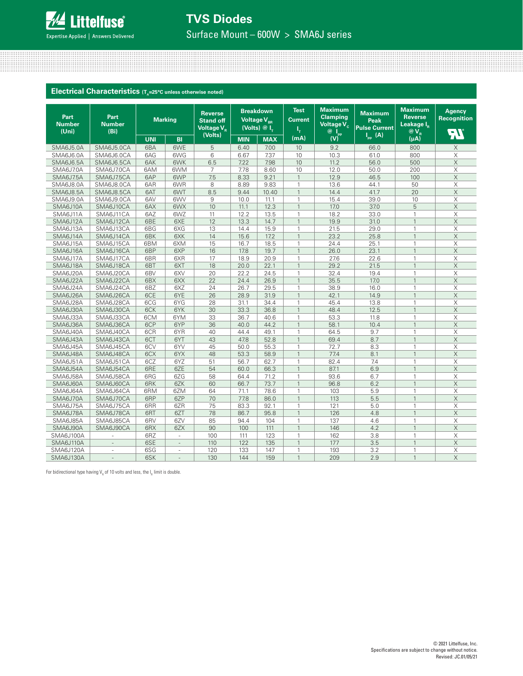

Surface Mount – 600W > SMA6J series

<u> 11. januar - Januar John Amerikaanse politiker (\* 1874)</u>

**Electrical Characteristics** (T<sub>A</sub>=25°C unless otherwise noted)

| Part<br><b>Number</b><br>(Uni) | Part<br><b>Number</b><br>(B <sub>i</sub> ) |            | <b>Marking</b> | <b>Reverse</b><br><b>Stand off</b><br>Voltage $V_R$<br>(Volts) |            | <b>Breakdown</b><br>Voltage V <sub>BR</sub><br>(Volts) $@I_{\tau}$ | <b>Test</b><br><b>Current</b><br>ι, | <b>Maximum</b><br><b>Clamping</b><br>Voltage V <sub>c</sub><br>$\overset{\circledR}{\mathsf{w}}_{ \mathsf{V} }^{\mathsf{I}_{\mathrm{pp}}}$ | <b>Maximum</b><br>Peak<br><b>Pulse Current</b><br>$I_{\text{pp}}(A)$ | <b>Maximum</b><br><b>Reverse</b><br>Leakage IR<br>$\overline{\omega}$ $\overline{V}_R$ | <b>Agency</b><br><b>Recognition</b><br>$\widetilde{\mathbb{F}}$ |
|--------------------------------|--------------------------------------------|------------|----------------|----------------------------------------------------------------|------------|--------------------------------------------------------------------|-------------------------------------|--------------------------------------------------------------------------------------------------------------------------------------------|----------------------------------------------------------------------|----------------------------------------------------------------------------------------|-----------------------------------------------------------------|
|                                |                                            | <b>UNI</b> | <b>BI</b>      |                                                                | <b>MIN</b> | <b>MAX</b>                                                         | (mA)                                |                                                                                                                                            |                                                                      | (uA)                                                                                   |                                                                 |
| SMA6J5.0A                      | SMA6J5.0CA                                 | 6BA        | 6WE            | 5                                                              | 6.40       | 7.00                                                               | 10                                  | 9.2                                                                                                                                        | 66.0                                                                 | 800                                                                                    | X                                                               |
| SMA6J6.0A                      | SMA6J6.0CA                                 | 6AG        | 6WG            | 6                                                              | 6.67       | 7.37                                                               | 10                                  | 10.3                                                                                                                                       | 61.0                                                                 | 800                                                                                    | X                                                               |
| SMA6J6.5A                      | SMA6J6.5CA                                 | 6AK        | 6WK            | 6.5                                                            | 7.22       | 7.98                                                               | 10                                  | 11.2                                                                                                                                       | 56.0                                                                 | 500                                                                                    | $\times$                                                        |
| SMA6J7.0A                      | SMA6J7.0CA                                 | 6AM        | 6WM            | 7                                                              | 7.78       | 8.60                                                               | 10                                  | 12.0                                                                                                                                       | 50.0                                                                 | 200                                                                                    | $\times$                                                        |
| SMA6J7.5A                      | SMA6J7.5CA                                 | 6AP        | 6WP            | 7.5                                                            | 8.33       | 9.21                                                               | $\mathbf{1}$                        | 12.9                                                                                                                                       | 46.5                                                                 | 100                                                                                    | $\times$                                                        |
| <b>SMA6J8.0A</b>               | SMA6J8.0CA                                 | 6AR        | 6WR            | 8                                                              | 8.89       | 9.83                                                               | $\mathbf{1}$                        | 13.6                                                                                                                                       | 44.1                                                                 | 50                                                                                     | X                                                               |
| <b>SMA6J8.5A</b>               | SMA6J8.5CA                                 | 6AT        | 6WT            | 8.5                                                            | 9.44       | 10.40                                                              | $\mathbf{1}$                        | 14.4                                                                                                                                       | 41.7                                                                 | 20                                                                                     | $\times$                                                        |
| SMA6J9.0A                      | SMA6J9.0CA                                 | 6AV        | 6WV            | 9                                                              | 10.0       | 11.1                                                               | $\mathbf{1}$                        | 15.4                                                                                                                                       | 39.0                                                                 | 10                                                                                     | $\times$                                                        |
| SMA6J10A                       | SMA6J10CA                                  | 6AX        | 6WX            | 10                                                             | 11.1       | 12.3                                                               | $\mathbf{1}$                        | 17.0                                                                                                                                       | 37.0                                                                 | 5                                                                                      | $\mathsf X$                                                     |
| SMA6J11A                       | SMA6J11CA                                  | 6AZ        | 6WZ            | 11                                                             | 12.2       | 13.5                                                               | $\mathbf{1}$                        | 18.2                                                                                                                                       | 33.0                                                                 | $\mathbf{1}$                                                                           | $\times$                                                        |
| SMA6J12A                       | SMA6J12CA                                  | 6BE        | 6XE            | 12                                                             | 13.3       | 14.7                                                               | $\overline{1}$                      | 19.9                                                                                                                                       | 31.0                                                                 | $\mathbf{1}$                                                                           | $\times$                                                        |
| SMA6J13A                       | SMA6J13CA                                  | 6BG        | 6XG            | 13                                                             | 14.4       | 15.9                                                               | $\mathbf{1}$                        | 21.5                                                                                                                                       | 29.0                                                                 | $\mathbf{1}$                                                                           | $\overline{\mathsf{x}}$                                         |
| SMA6J14A                       | SMA6J14CA                                  | 6BK        | 6XK            | 14                                                             | 15.6       | 17.2                                                               | $\overline{1}$                      | 23.2                                                                                                                                       | 25.8                                                                 | $\mathbf{1}$                                                                           | $\times$                                                        |
| SMA6J15A                       | SMA6J15CA                                  | 6BM        | 6XM            | 15                                                             | 16.7       | 18.5                                                               | 1                                   | 24.4                                                                                                                                       | 25.1                                                                 | $\mathbf{1}$                                                                           | X                                                               |
| SMA6J16A                       | SMA6J16CA                                  | 6BP        | 6XP            | 16                                                             | 17.8       | 19.7                                                               | 1                                   | 26.0                                                                                                                                       | 23.1                                                                 | $\mathbf{1}$                                                                           | $\times$                                                        |
| SMA6J17A                       | SMA6J17CA                                  | 6BR        | 6XR            | 17                                                             | 18.9       | 20.9                                                               | 1                                   | 27.6                                                                                                                                       | 22.6                                                                 | $\mathbf{1}$                                                                           | X                                                               |
| SMA6J18A                       | SMA6J18CA                                  | 6BT        | 6XT            | 18                                                             | 20.0       | 22.1                                                               |                                     | 29.2                                                                                                                                       | 21.5                                                                 | $\mathbf{1}$                                                                           | $\times$                                                        |
| SMA6J20A                       | SMA6J20CA                                  | 6BV        | 6XV            | 20                                                             | 22.2       | 24.5                                                               | 1                                   | 32.4                                                                                                                                       | 19.4                                                                 | $\mathbf{1}$                                                                           | X                                                               |
| SMA6J22A                       | SMA6J22CA                                  | 6BX        | 6XX            | 22                                                             | 24.4       | 26.9                                                               | $\overline{1}$                      | 35.5                                                                                                                                       | 17.0                                                                 | $\mathbf{1}$                                                                           | $\overline{X}$                                                  |
| SMA6J24A                       | SMA6J24CA                                  | 6BZ        | 6XZ            | 24                                                             | 26.7       | 29.5                                                               | $\mathbf{1}$                        | 38.9                                                                                                                                       | 16.0                                                                 | $\mathbf{1}$                                                                           | X                                                               |
| SMA6J26A                       | SMA6J26CA                                  | 6CE        | 6YE            | 26                                                             | 28.9       | 31.9                                                               | $\overline{1}$                      | 42.1                                                                                                                                       | 14.9                                                                 | $\mathbf{1}$                                                                           | $\mathsf X$                                                     |
| SMA6J28A                       | SMA6J28CA                                  | 6CG        | 6YG            | 28                                                             | 31.1       | 34.4                                                               | $\mathbf{1}$                        | 45.4                                                                                                                                       | 13.8                                                                 | $\mathbf{1}$                                                                           | $\times$                                                        |
| SMA6J30A                       | SMA6J30CA                                  | 6CK        | 6YK            | 30                                                             | 33.3       | 36.8                                                               | $\overline{1}$                      | 48.4                                                                                                                                       | 12.5                                                                 | $\mathbf{1}$                                                                           | $\mathsf X$                                                     |
| SMA6J33A                       | SMA6J33CA                                  | 6CM        | 6YM            | 33                                                             | 36.7       | 40.6                                                               | $\mathbf{1}$                        | 53.3                                                                                                                                       | 11.8                                                                 | $\mathbf{1}$                                                                           | $\times$                                                        |
| SMA6J36A                       | SMA6J36CA                                  | 6CP        | 6YP            | 36                                                             | 40.0       | 44.2                                                               | $\overline{1}$                      | 58.1                                                                                                                                       | 10.4                                                                 | $\mathbf{1}$                                                                           | $\mathsf X$                                                     |
| SMA6J40A                       | SMA6J40CA                                  | 6CR        | 6YR            | 40                                                             | 44.4       | 49.1                                                               | $\mathbf{1}$                        | 64.5                                                                                                                                       | 9.7                                                                  | $\mathbf{1}$                                                                           | $\times$                                                        |
| SMA6J43A                       | SMA6J43CA                                  | 6CT        | 6YT            | 43                                                             | 47.8       | 52.8                                                               | $\mathbf{1}$                        | 69.4                                                                                                                                       | 8.7                                                                  | $\mathbf{1}$                                                                           | $\times$                                                        |
| SMA6J45A                       | SMA6J45CA                                  | 6CV        | 6YV            | 45                                                             | 50.0       | 55.3                                                               | $\mathbf{1}$                        | 72.7                                                                                                                                       | 8.3                                                                  | $\mathbf{1}$                                                                           | $\times$                                                        |
| SMA6J48A                       | SMA6J48CA                                  | 6CX        | 6YX            | 48                                                             | 53.3       | 58.9                                                               | $\overline{1}$                      | 77.4                                                                                                                                       | 8.1                                                                  | $\mathbf{1}$                                                                           | $\times$                                                        |
| SMA6J51A                       | SMA6J51CA                                  | 6CZ        | 6YZ            | 51                                                             | 56.7       | 62.7                                                               | 1                                   | 82.4                                                                                                                                       | 7.4                                                                  | $\mathbf{1}$                                                                           | $\times$                                                        |
| SMA6J54A                       | SMA6J54CA                                  | 6RE        | 6ZE            | 54                                                             | 60.0       | 66.3                                                               | $\overline{1}$                      | 87.1                                                                                                                                       | 6.9                                                                  | $\mathbf{1}$                                                                           | $\times$                                                        |
| SMA6J58A                       | SMA6J58CA                                  | 6RG        | 6ZG            | 58                                                             | 64.4       | 71.2                                                               |                                     | 93.6                                                                                                                                       | 6.7                                                                  | $\mathbf{1}$                                                                           | X                                                               |
| SMA6J60A                       | SMA6J60CA                                  | 6RK        | 6ZK            | 60                                                             | 66.7       | 73.7                                                               |                                     | 96.8                                                                                                                                       | 6.2                                                                  | $\mathbf{1}$                                                                           | $\times$                                                        |
| SMA6J64A                       | SMA6J64CA                                  | 6RM        | 6ZM            | 64                                                             | 71.1       | 78.6                                                               | 1                                   | 103                                                                                                                                        | 5.9                                                                  | $\mathbf{1}$                                                                           | Χ                                                               |
| SMA6J70A                       | SMA6J70CA                                  | 6RP        | 6ZP            | 70                                                             | 77.8       | 86.0                                                               | $\mathbf{1}$                        | 113                                                                                                                                        | 5.5                                                                  | $\mathbf{1}$                                                                           | $\mathsf X$                                                     |
| SMA6J75A                       | SMA6J75CA                                  | 6RR        | 6ZR            | 75                                                             | 83.3       | 92.1                                                               | $\mathbf{1}$                        | 121                                                                                                                                        | 5.0                                                                  | $\mathbf{1}$                                                                           | X                                                               |
| SMA6J78A                       | SMA6J78CA                                  | 6RT        | 6ZT            | 78                                                             | 86.7       | 95.8                                                               | $\mathbf{1}$                        | 126                                                                                                                                        | 4.8                                                                  | $\mathbf{1}$                                                                           | $\mathsf X$                                                     |
| SMA6J85A                       | SMA6J85CA                                  | 6RV        | 6ZV            | 85                                                             | 94.4       | 104                                                                | $\mathbf{1}$                        | 137                                                                                                                                        | 4.6                                                                  | $\mathbf{1}$                                                                           | $\overline{\mathsf{x}}$                                         |
| SMA6J90A                       | SMA6J90CA                                  | 6RX        | 6ZX            | 90                                                             | 100        | 111                                                                | $\mathbf{1}$                        | 146                                                                                                                                        | 4.2                                                                  | $\mathbf{1}$                                                                           | $\overline{\mathsf{X}}$                                         |
| SMA6J100A                      | ä,                                         | 6RZ        | $\sim$         | 100                                                            | 111        | 123                                                                | $\mathbf{1}$                        | 162                                                                                                                                        | 3.8                                                                  | $\mathbf{1}$                                                                           | $\boldsymbol{\mathsf{X}}$                                       |
| SMA6J110A                      | ÷.                                         | 6SE        | $\sim$         | 110                                                            | 122        | 135                                                                | $\mathbf{1}$                        | 177                                                                                                                                        | 3.5                                                                  | $\mathbf{1}$                                                                           | $\overline{X}$                                                  |
| SMA6J120A                      | ×,                                         | 6SG        | ×.             | 120                                                            | 133        | 147                                                                | $\mathbf{1}$                        | 193                                                                                                                                        | 3.2                                                                  | $\mathbf{1}$                                                                           | X                                                               |
| SMA6J130A                      | $\overline{\phantom{a}}$                   | 6SK        | $\sim$         | 130                                                            | 144        | 159                                                                | $\mathbf{1}$                        | 209                                                                                                                                        | 2.9                                                                  | $\mathbf{1}$                                                                           | $\times$                                                        |

For bidirectional type having V<sub>R</sub> of 10 volts and less, the I<sub>R</sub> limit is double.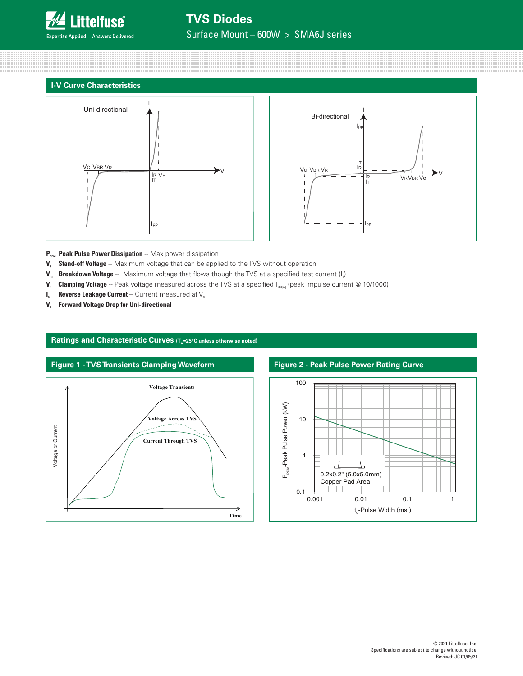

Surface Mount – 600W > SMA6J series

## **I-V Curve Characteristics**





- P<sub>PPM</sub> Peak Pulse Power Dissipation -- Max power dissipation
- **V<sub>R</sub>** Stand-off Voltage -- Maximum voltage that can be applied to the TVS without operation
- **V<sub>BR</sub> Breakdown Voltage** Maximum voltage that flows though the TVS at a specified test current (I<sub>t</sub>)
- **V<sub>c</sub>** Clamping Voltage -- Peak voltage measured across the TVS at a specified I<sub>PPM</sub> (peak impulse current @ 10/1000)
- **I<sub>R</sub>** Reverse Leakage Current -- Current measured at V<sub>R</sub>
- **V<sub>F</sub>** Forward Voltage Drop for Uni-directional

### Ratings and Characteristic Curves (T<sub>A</sub>=25°C unless otherwise noted)



### **Figure 2 - Peak Pulse Power Rating Curve**

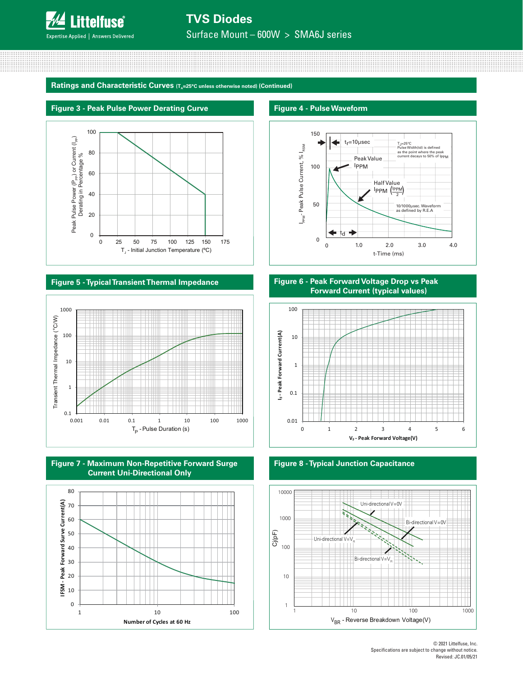

Surface Mount – 600W > SMA6J series

Ratings and Characteristic Curves (T<sub>a</sub>=25°C unless otherwise noted) (Continued)

#### **Figure 3 - Peak Pulse Power Derating Curve**



### **Figure 5 - Typical Transient Thermal Impedance**







#### **Figure 4 - Pulse Waveform**



### **Figure 6 - Peak Forward Voltage Drop vs Peak Forward Current (typical values)**



**Figure 8 - Typical Junction Capacitance**

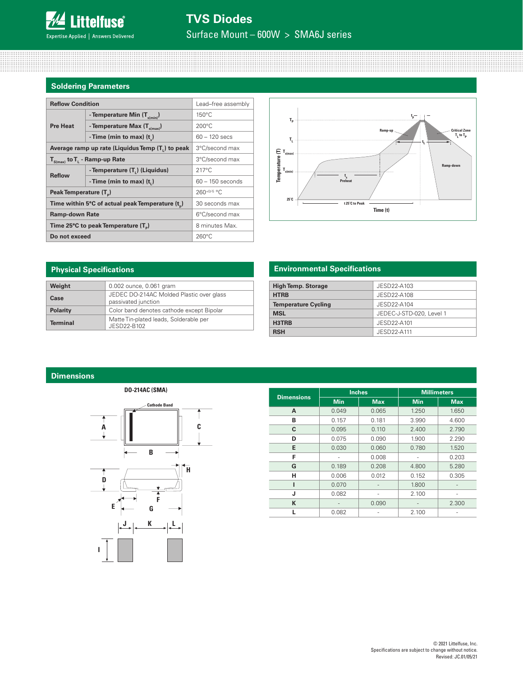# **Soldering Parameters**

| <b>Reflow Condition</b>                          | Lead-free assembly                             |                    |  |
|--------------------------------------------------|------------------------------------------------|--------------------|--|
|                                                  | - Temperature Min (T <sub>s(min</sub> )        | $150^{\circ}$ C    |  |
| <b>Pre Heat</b>                                  | - Temperature Max $(T_{s(max)})$               | $200^{\circ}$ C    |  |
|                                                  | - Time (min to max) $(t_$ )                    | $60 - 120$ secs    |  |
| Average ramp up rate (Liquidus Temp (T,) to peak | 3°C/second max                                 |                    |  |
| $T_{S(max)}$ to $T_{L}$ - Ramp-up Rate           | 3°C/second max                                 |                    |  |
| <b>Reflow</b>                                    | - Temperature (T,) (Liquidus)                  | $217^{\circ}$ C    |  |
|                                                  | -Time (min to max) $(ti)$                      | $60 - 150$ seconds |  |
| Peak Temperature (T <sub>a</sub> )               | $260+0/5$ °C                                   |                    |  |
|                                                  | Time within 5°C of actual peak Temperature (t) | 30 seconds max     |  |
| <b>Ramp-down Rate</b>                            | 6°C/second max                                 |                    |  |
| Time 25°C to peak Temperature (T <sub>a</sub> )  | 8 minutes Max.                                 |                    |  |
| Do not exceed                                    | $260^{\circ}$ C                                |                    |  |



| <b>Physical Specifications</b> |                                                                 |  |  |  |  |
|--------------------------------|-----------------------------------------------------------------|--|--|--|--|
| Weight                         | 0.002 ounce, 0.061 gram                                         |  |  |  |  |
| Case                           | JEDEC DO-214AC Molded Plastic over glass<br>passivated junction |  |  |  |  |
| <b>Polarity</b>                | Color band denotes cathode except Bipolar                       |  |  |  |  |
| <b>Terminal</b>                | Matte Tin-plated leads, Solderable per<br>JESD22-B102           |  |  |  |  |

# **Environmental Specifications**

| <b>High Temp. Storage</b>  | JESD22-A103              |
|----------------------------|--------------------------|
| <b>HTRB</b>                | JESD22-A108              |
| <b>Temperature Cycling</b> | JESD22-A104              |
| <b>MSL</b>                 | JEDEC-J-STD-020, Level 1 |
| H3TRB                      | JESD22-A101              |
| <b>RSH</b>                 | JESD22-A111              |

### **Dimensions**



|                   |            | <b>Inches</b> | <b>Millimeters</b> |            |  |
|-------------------|------------|---------------|--------------------|------------|--|
| <b>Dimensions</b> | <b>Min</b> | <b>Max</b>    | <b>Min</b>         | <b>Max</b> |  |
| A                 | 0.049      | 0.065         | 1.250              | 1.650      |  |
| в                 | 0.157      | 0.181         | 3.990              | 4.600      |  |
| C                 | 0.095      | 0.110         | 2.400              | 2.790      |  |
| D                 | 0.075      | 0.090         | 1.900              | 2.290      |  |
| E                 | 0.030      | 0.060         | 0.780              | 1.520      |  |
| F                 |            | 0.008         |                    | 0.203      |  |
| G                 | 0.189      | 0.208         | 4.800              | 5.280      |  |
| н                 | 0.006      | 0.012         | 0.152              | 0.305      |  |
|                   | 0.070      |               | 1.800              |            |  |
| J                 | 0.082      |               | 2.100              |            |  |
| K                 |            | 0.090         |                    | 2.300      |  |
|                   | 0.082      |               | 2.100              |            |  |